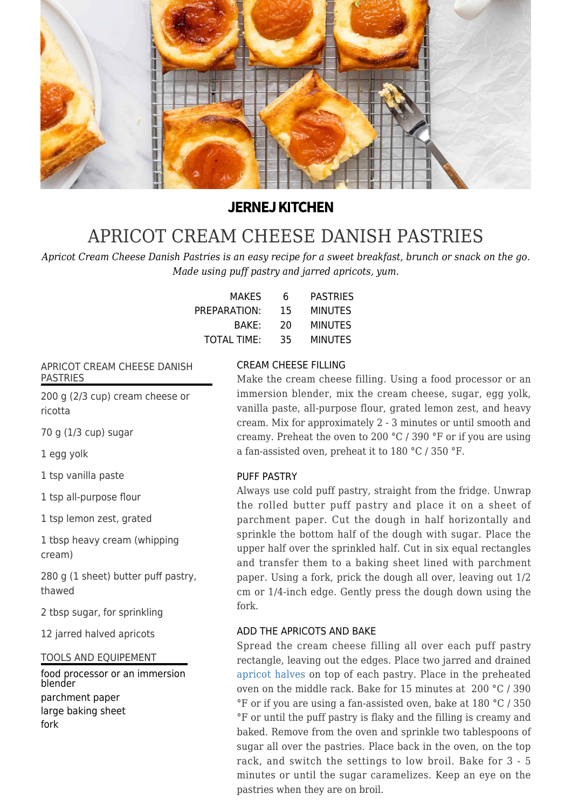

## **JERNEJ KITCHEN**

# [APRICOT CREAM CHEESE DANISH PASTRIES](https://jernejkitchen.com/recipes/fruit/apricot-danish-pastries)

*Apricot Cream Cheese Danish Pastries is an easy recipe for a sweet breakfast, brunch or snack on the go. Made using puff pastry and jarred apricots, yum.*

| MAKES              | 6  | <b>PASTRIES</b> |
|--------------------|----|-----------------|
| PREPARATION:       | 15 | <b>MINUTES</b>  |
| BAKE:              | 20 | <b>MINUTES</b>  |
| <b>TOTAL TIME:</b> | 35 | MINUTES         |

#### APRICOT CREAM CHEESE DANISH PASTRIES

200 g (2/3 cup) cream cheese or ricotta

70 g (1/3 cup) sugar

1 egg yolk

1 tsp vanilla paste

1 tsp all-purpose flour

1 tsp lemon zest, grated

1 tbsp heavy cream (whipping cream)

280 g (1 sheet) butter puff pastry, thawed

2 tbsp sugar, for sprinkling

12 jarred halved apricots

TOOLS AND EQUIPEMENT

food processor or an immersion blender parchment paper large baking sheet fork

#### CREAM CHEESE FILLING

Make the cream cheese filling. Using a food processor or an immersion blender, mix the cream cheese, sugar, egg yolk, vanilla paste, all-purpose flour, grated lemon zest, and heavy cream. Mix for approximately 2 - 3 minutes or until smooth and creamy. Preheat the oven to 200 °C / 390 °F or if you are using a fan-assisted oven, preheat it to 180 °C / 350 °F.

#### PUFF PASTRY

Always use cold puff pastry, straight from the fridge. Unwrap the rolled butter puff pastry and place it on a sheet of parchment paper. Cut the dough in half horizontally and sprinkle the bottom half of the dough with sugar. Place the upper half over the sprinkled half. Cut in six equal rectangles and transfer them to a baking sheet lined with parchment paper. Using a fork, prick the dough all over, leaving out 1/2 cm or 1/4-inch edge. Gently press the dough down using the fork.

#### ADD THE APRICOTS AND BAKE

Spread the cream cheese filling all over each puff pastry rectangle, leaving out the edges. Place two jarred and drained [apricot halves](https://jernejkitchen.com/recipes/fruit/apricot-compote) on top of each pastry. Place in the preheated oven on the middle rack. Bake for 15 minutes at 200 °C / 390 °F or if you are using a fan-assisted oven, bake at 180 °C / 350 °F or until the puff pastry is flaky and the filling is creamy and baked. Remove from the oven and sprinkle two tablespoons of sugar all over the pastries. Place back in the oven, on the top rack, and switch the settings to low broil. Bake for 3 - 5 minutes or until the sugar caramelizes. Keep an eye on the pastries when they are on broil.